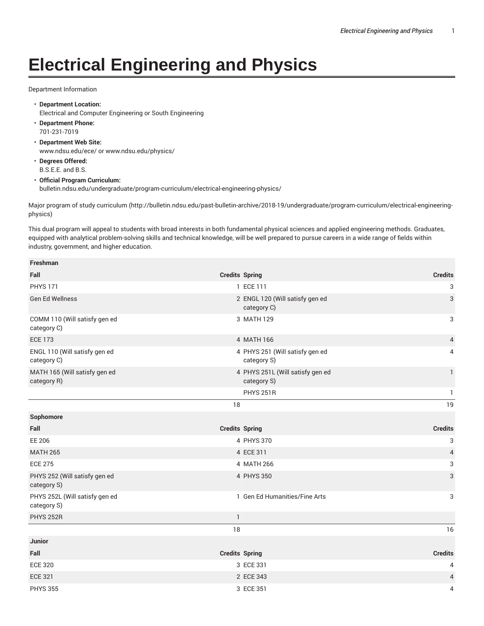## **Electrical Engineering and Physics**

## Department Information

- **Department Location:** Electrical and Computer Engineering or South Engineering
- **Department Phone:** 701-231-7019
- **Department Web Site:** www.ndsu.edu/ece/ or www.ndsu.edu/physics/
- **Degrees Offered:** B.S.E.E. and B.S.
- **Official Program Curriculum:** bulletin.ndsu.edu/undergraduate/program-curriculum/electrical-engineering-physics/

Major program of study curriculum (http://bulletin.ndsu.edu/past-bulletin-archive/2018-19/undergraduate/program-curriculum/electrical-engineeringphysics)

This dual program will appeal to students with broad interests in both fundamental physical sciences and applied engineering methods. Graduates, equipped with analytical problem-solving skills and technical knowledge, will be well prepared to pursue careers in a wide range of fields within industry, government, and higher education.

| <b>Freshman</b>                               |                |                                                 |                |
|-----------------------------------------------|----------------|-------------------------------------------------|----------------|
| Fall                                          |                | <b>Credits Spring</b>                           | <b>Credits</b> |
| <b>PHYS 171</b>                               |                | 1 ECE 111                                       | 3              |
| <b>Gen Ed Wellness</b>                        |                | 2 ENGL 120 (Will satisfy gen ed<br>category C)  | 3              |
| COMM 110 (Will satisfy gen ed<br>category C)  |                | 3 MATH 129                                      | 3              |
| <b>ECE 173</b>                                |                | 4 MATH 166                                      | $\overline{4}$ |
| ENGL 110 (Will satisfy gen ed<br>category C)  |                | 4 PHYS 251 (Will satisfy gen ed<br>category S)  | 4              |
| MATH 165 (Will satisfy gen ed<br>category R)  |                | 4 PHYS 251L (Will satisfy gen ed<br>category S) | $\mathbf{1}$   |
|                                               |                | <b>PHYS 251R</b>                                | 1              |
|                                               | 18             |                                                 | 19             |
| Sophomore                                     |                |                                                 |                |
| Fall                                          |                | <b>Credits Spring</b>                           | <b>Credits</b> |
| EE 206                                        |                | 4 PHYS 370                                      | 3              |
| <b>MATH 265</b>                               |                | 4 ECE 311                                       | $\overline{4}$ |
| <b>ECE 275</b>                                |                | 4 MATH 266                                      | 3              |
| PHYS 252 (Will satisfy gen ed<br>category S)  |                | 4 PHYS 350                                      | 3              |
| PHYS 252L (Will satisfy gen ed<br>category S) |                | 1 Gen Ed Humanities/Fine Arts                   | 3              |
| <b>PHYS 252R</b>                              | $\overline{1}$ |                                                 |                |
|                                               | 18             |                                                 | 16             |
| Junior                                        |                |                                                 |                |
| Fall                                          |                | <b>Credits Spring</b>                           | <b>Credits</b> |
| <b>ECE 320</b>                                |                | 3 ECE 331                                       | 4              |
| <b>ECE 321</b>                                |                | 2 ECE 343                                       | 4              |
| <b>PHYS 355</b>                               |                | 3 ECE 351                                       | 4              |